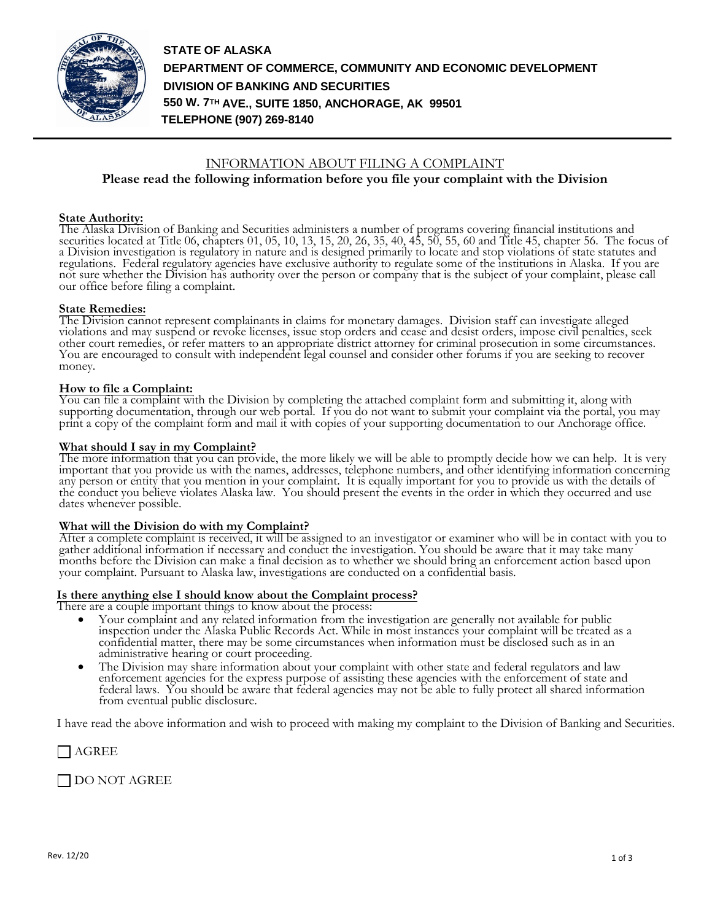

**STATE OF ALASKA DEPARTMENT OF COMMERCE, COMMUNITY AND ECONOMIC DEVELOPMENT DIVISION OF BANKING AND SECURITIES 550 W. 7TH AVE., SUITE 1850, ANCHORAGE, AK 99501 TELEPHONE (907) 269-8140**

# INFORMATION ABOUT FILING A COMPLAINT

# **Please read the following information before you file your complaint with the Division**

#### **State Authority:**

The Alaska Division of Banking and Securities administers a number of programs covering financial institutions and securities located at Title 06, chapters 01, 05, 10, 13, 15, 20, 26, 35, 40, 45, 50, 55, 60 and Title 45, chapter 56. The focus of a Division investigation is regulatory in nature and is designed primarily to locate and stop violations of state statutes and regulations. Federal regulatory agencies have exclusive authority to regulate some of the institutions in Alaska. If you are not sure whether the Division has authority over the person or company that is the subject of your complaint, please call our office before filing a complaint.

## **State Remedies:**

The Division cannot represent complainants in claims for monetary damages. Division staff can investigate alleged violations and may suspend or revoke licenses, issue stop orders and cease and desist orders, impose civil penalties, seek other court remedies, or refer matters to an appropriate district attorney for criminal prosecution in some circumstances. You are encouraged to consult with independent legal counsel and consider other forums if you are seeking to recover money.

#### **How to file a Complaint:**

You can file a complaint with the Division by completing the attached complaint form and submitting it, along with supporting documentation, through our web portal. If you do not want to submit your complaint via the portal, you may print a copy of the complaint form and mail it with copies of your supporting documentation to our Anchorage office.

## **What should I say in my Complaint?**

The more information that you can provide, the more likely we will be able to promptly decide how we can help. It is very important that you provide us with the names, addresses, telephone numbers, and other identifying information concerning any person or entity that you mention in your complaint. It is equally important for you to provide us with the details of the conduct you believe violates Alaska law. You should present the events in the order in which they occurred and use dates whenever possible.

#### **What will the Division do with my Complaint?**

After a complete complaint is received, it will be assigned to an investigator or examiner who will be in contact with you to gather additional information if necessary and conduct the investigation. You should be aware that it may take many months before the Division can make a final decision as to whether we should bring an enforcement action based upon your complaint. Pursuant to Alaska law, investigations are conducted on a confidential basis.

## **Is there anything else I should know about the Complaint process?**

There are a couple important things to know about the process:

- Your complaint and any related information from the investigation are generally not available for public inspection under the Alaska Public Records Act. While in most instances your complaint will be treated as a confidential matter, there may be some circumstances when information must be disclosed such as in an administrative hearing or court proceeding.
- The Division may share information about your complaint with other state and federal regulators and law enforcement agencies for the express purpose of assisting these agencies with the enforcement of state and federal laws. You should be aware that federal agencies may not be able to fully protect all shared information from eventual public disclosure.

I have read the above information and wish to proceed with making my complaint to the Division of Banking and Securities.

| AGREE

DO NOT AGREE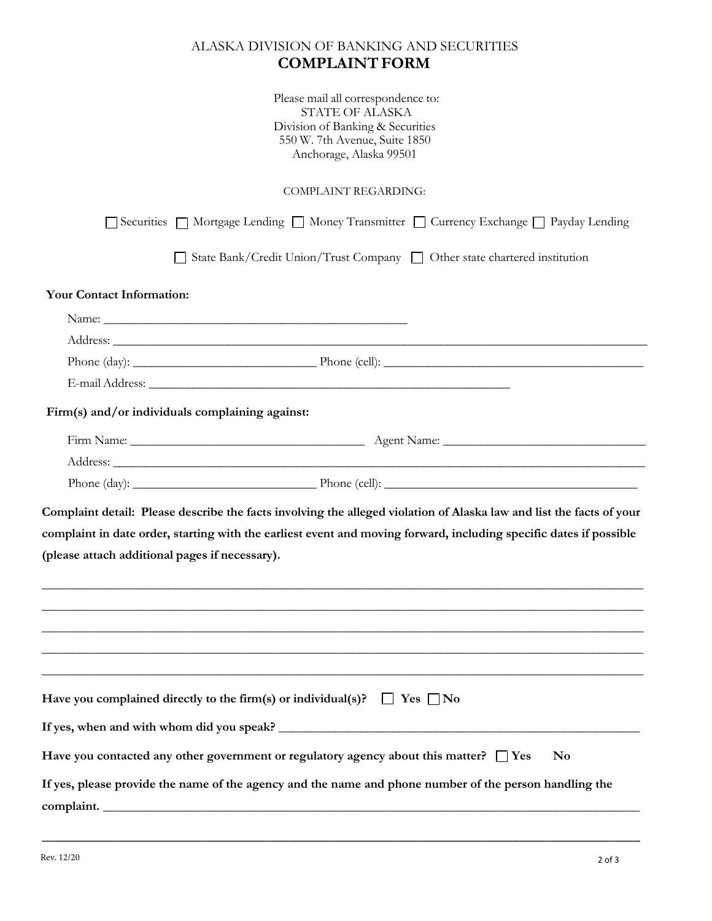# ALASKA DIVISION OF BANKING AND SECURITIES **COMPLAINTFORM**

Please mail all correspondence to: STATE OF ALASKA Division of Banking & Securities 550 W. 7th Avenue, Suite 1850 Anchorage, Alaska 99501

COMPLAINT REGARDING:

|                                                | Securities □ Mortgage Lending □ Money Transmitter □ Currency Exchange □ Payday Lending                                                                                                                                         |
|------------------------------------------------|--------------------------------------------------------------------------------------------------------------------------------------------------------------------------------------------------------------------------------|
|                                                | State Bank/Credit Union/Trust Company   Other state chartered institution                                                                                                                                                      |
| <b>Your Contact Information:</b>               |                                                                                                                                                                                                                                |
|                                                |                                                                                                                                                                                                                                |
|                                                |                                                                                                                                                                                                                                |
|                                                |                                                                                                                                                                                                                                |
|                                                |                                                                                                                                                                                                                                |
|                                                | Firm(s) and/or individuals complaining against:                                                                                                                                                                                |
|                                                |                                                                                                                                                                                                                                |
|                                                | Address: Andreas Address: Address: Address: Address: Address: Address: Address: Address: Address: Address: Address: Address: Address: Address: Address: Address: Address: Address: Address: Address: Address: Address: Address |
|                                                |                                                                                                                                                                                                                                |
| (please attach additional pages if necessary). | complaint in date order, starting with the earliest event and moving forward, including specific dates if possible                                                                                                             |
|                                                |                                                                                                                                                                                                                                |
|                                                | Have you complained directly to the firm(s) or individual(s)?<br>$\Box$ Yes $\Box$ No                                                                                                                                          |
|                                                |                                                                                                                                                                                                                                |
|                                                | Have you contacted any other government or regulatory agency about this matter? $\Box$ Yes<br>N <sub>0</sub>                                                                                                                   |
|                                                | If yes, please provide the name of the agency and the name and phone number of the person handling the<br>complaint.                                                                                                           |

\_\_\_\_\_\_\_\_\_\_\_\_\_\_\_\_\_\_\_\_\_\_\_\_\_\_\_\_\_\_\_\_\_\_\_\_\_\_\_\_\_\_\_\_\_\_\_\_\_\_\_\_\_\_\_\_\_\_\_\_\_\_\_\_\_\_\_\_\_\_\_\_\_\_\_\_\_\_\_\_\_\_\_\_\_\_\_\_\_\_\_\_\_\_